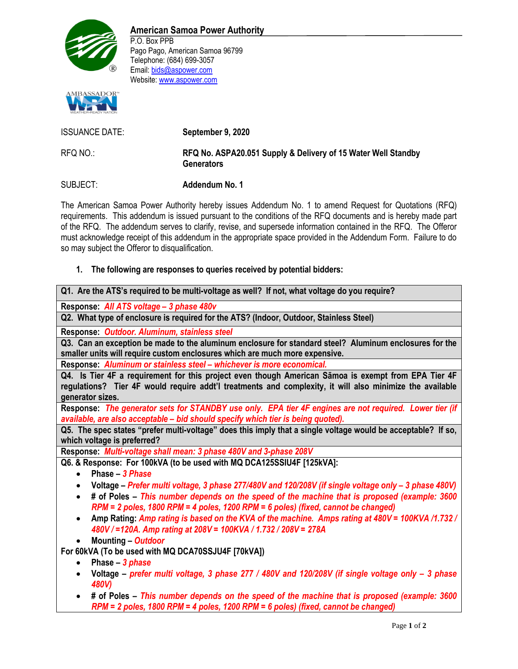

P.O. Box PPB Pago Pago, American Samoa 96799 Telephone: (684) 699-3057 Email: bids@aspower.com Website: www.aspower.com



ISSUANCE DATE: **September 9, 2020** RFQ NO.: **RFQ No. ASPA20.051 Supply & Delivery of 15 Water Well Standby Generators** SUBJECT: **Addendum No. 1**

The American Samoa Power Authority hereby issues Addendum No. 1 to amend Request for Quotations (RFQ) requirements. This addendum is issued pursuant to the conditions of the RFQ documents and is hereby made part of the RFQ. The addendum serves to clarify, revise, and supersede information contained in the RFQ. The Offeror must acknowledge receipt of this addendum in the appropriate space provided in the Addendum Form. Failure to do so may subject the Offeror to disqualification.

## **1. The following are responses to queries received by potential bidders:**

**Response:** *All ATS voltage – 3 phase 480v*

**Q2. What type of enclosure is required for the ATS? (Indoor, Outdoor, Stainless Steel)**

**Response:** *Outdoor. Aluminum, stainless steel*

**Q3. Can an exception be made to the aluminum enclosure for standard steel? Aluminum enclosures for the smaller units will require custom enclosures which are much more expensive.**

**Response:** *Aluminum or stainless steel – whichever is more economical.*

**Q4. Is Tier 4F a requirement for this project even though American Sāmoa is exempt from EPA Tier 4F regulations? Tier 4F would require addt'l treatments and complexity, it will also minimize the available generator sizes.**

**Response:** *The generator sets for STANDBY use only. EPA tier 4F engines are not required. Lower tier (if available, are also acceptable – bid should specify which tier is being quoted).*

**Q5. The spec states "prefer multi-voltage" does this imply that a single voltage would be acceptable? If so, which voltage is preferred?**

**Response:** *Multi-voltage shall mean: 3 phase 480V and 3-phase 208V*

**Q6. & Response: For 100kVA (to be used with MQ DCA125SSIU4F [125kVA]:**

- **Phase –** *3 Phase*
- **Voltage –** *Prefer multi voltage, 3 phase 277/480V and 120/208V (if single voltage only – 3 phase 480V)*
- **# of Poles –** *This number depends on the speed of the machine that is proposed (example: 3600 RPM = 2 poles, 1800 RPM = 4 poles, 1200 RPM = 6 poles) (fixed, cannot be changed)*
- **Amp Rating:** *Amp rating is based on the KVA of the machine. Amps rating at 480V = 100KVA /1.732 / 480V / =120A. Amp rating at 208V = 100KVA / 1.732 / 208V = 278A*
- **Mounting –** *Outdoor*

**For 60kVA (To be used with MQ DCA70SSJU4F [70kVA])**

- **Phase –** *3 phase*
- **Voltage –** *prefer multi voltage, 3 phase 277 / 480V and 120/208V (if single voltage only – 3 phase 480V)*
- **# of Poles –** *This number depends on the speed of the machine that is proposed (example: 3600 RPM = 2 poles, 1800 RPM = 4 poles, 1200 RPM = 6 poles) (fixed, cannot be changed)*